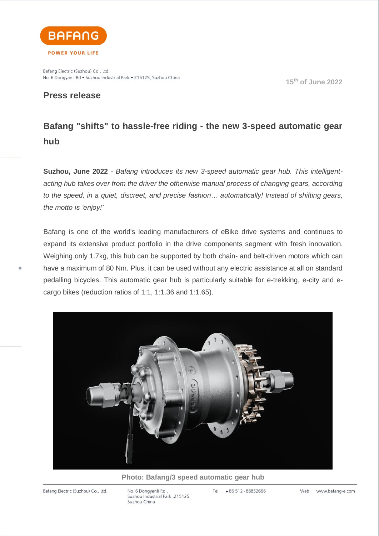

Bafang Electric (Suzhou) Co., Ltd. No. 6 Dongyanli Rd · Suzhou Industrial Park · 215125, Suzhou China

# **Press release**

 **15 th of June 2022**

# **Bafang "shifts" to hassle-free riding - the new 3-speed automatic gear hub**

**Suzhou, June 2022** *- Bafang introduces its new 3-speed automatic gear hub. This intelligentacting hub takes over from the driver the otherwise manual process of changing gears, according to the speed, in a quiet, discreet, and precise fashion… automatically! Instead of shifting gears, the motto is 'enjoy!'*

Bafang is one of the world's leading manufacturers of eBike drive systems and continues to expand its extensive product portfolio in the drive components segment with fresh innovation. Weighing only 1.7kg, this hub can be supported by both chain- and belt-driven motors which can have a maximum of 80 Nm. Plus, it can be used without any electric assistance at all on standard pedalling bicycles. This automatic gear hub is particularly suitable for e-trekking, e-city and ecargo bikes (reduction ratios of 1:1, 1:1.36 and 1:1.65).



## **Photo: Bafang/3 speed automatic gear hub**

Bafang Electric (Suzhou) Co., Ltd.

No. 6 Dongyanli Rd, Suzhou Industrial Park, 215125, Suzhou China

Tel +86 512 - 88852666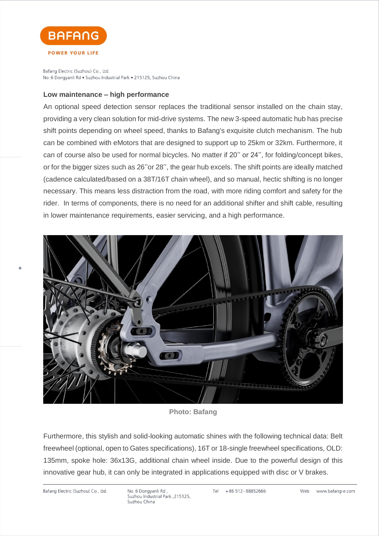

Bafang Electric (Suzhou) Co., Ltd. No. 6 Dongyanli Rd · Suzhou Industrial Park · 215125, Suzhou China

### **Low maintenance – high performance**

An optional speed detection sensor replaces the traditional sensor installed on the chain stay, providing a very clean solution for mid-drive systems. The new 3-speed automatic hub has precise shift points depending on wheel speed, thanks to Bafang's exquisite clutch mechanism. The hub can be combined with eMotors that are designed to support up to 25km or 32km. Furthermore, it can of course also be used for normal bicycles. No matter if 20'' or 24'', for folding/concept bikes, or for the bigger sizes such as 26''or 28'', the gear hub excels. The shift points are ideally matched (cadence calculated/based on a 38T/16T chain wheel), and so manual, hectic shifting is no longer necessary. This means less distraction from the road, with more riding comfort and safety for the rider. In terms of components, there is no need for an additional shifter and shift cable, resulting in lower maintenance requirements, easier servicing, and a high performance.



**Photo: Bafang**

Furthermore, this stylish and solid-looking automatic shines with the following technical data: Belt freewheel (optional, open to Gates specifications), 16T or 18-single freewheel specifications, OLD: 135mm, spoke hole: 36x13G, additional chain wheel inside. Due to the powerful design of this innovative gear hub, it can only be integrated in applications equipped with disc or V brakes.

Bafang Electric (Suzhou) Co., Ltd.

No. 6 Dongyanli Rd, Suzhou Industrial Park, 215125, Suzhou China

Tel +86 512 - 88852666